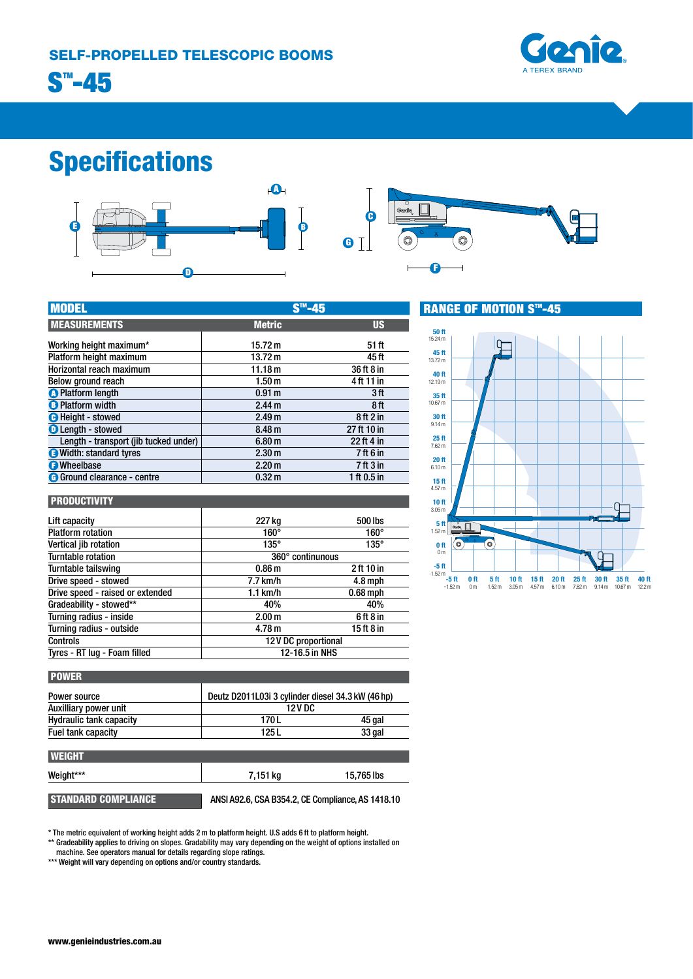

# Specifications



| <b>MODEL</b>                          | <b>CTM</b>        |                                 |
|---------------------------------------|-------------------|---------------------------------|
| <b>MEASUREMENTS</b>                   | <b>Metric</b>     | <b>US</b>                       |
| Working height maximum*               | 15.72 m           | 51 ft                           |
| Platform height maximum               | 13.72 m           | 45 ft                           |
| Horizontal reach maximum              | 11.18 m           | 36 ft 8 in                      |
| Below ground reach                    | 1.50 <sub>m</sub> | 4 ft 11 in                      |
| <b>O</b> Platform length              | 0.91 <sub>m</sub> | 3ft                             |
| <b>B</b> Platform width               | 2.44 <sub>m</sub> | 8ft                             |
| <b>O</b> Height - stowed              | 2.49 <sub>m</sub> | 8ft2in                          |
| <b>O</b> Length - stowed              | 8.48 <sub>m</sub> | 27 ft 10 in                     |
| Length - transport (jib tucked under) | 6.80 <sub>m</sub> | 22 ft 4 in                      |
| <b>O</b> Width: standard tyres        | 2.30 <sub>m</sub> | 7 ft 6 in                       |
| <b>O</b> Wheelbase                    | 2.20 <sub>m</sub> | 7 <sup>ft</sup> 3 <sup>in</sup> |
| <b>G</b> Ground clearance - centre    | 0.32 <sub>m</sub> | 1 ft $0.5$ in                   |

### **PRODUCTIVITY**

| Lift capacity                    | 227 kg              | 500 lbs     |
|----------------------------------|---------------------|-------------|
| <b>Platform rotation</b>         | 160°                | $160^\circ$ |
| Vertical jib rotation            | $135^\circ$         | $135^\circ$ |
| <b>Turntable rotation</b>        | 360° continunous    |             |
| Turntable tailswing              | 0.86 <sub>m</sub>   | 2 ft 10 in  |
| Drive speed - stowed             | 7.7 km/h            | $4.8$ mph   |
| Drive speed - raised or extended | $1.1$ km/h          | $0.68$ mph  |
| Gradeability - stowed**          | 40%                 | 40%         |
| Turning radius - inside          | 2.00 <sub>m</sub>   | 6ft 8 in    |
| Turning radius - outside         | 4.78 m              | 15 ft 8 in  |
| <b>Controls</b>                  | 12V DC proportional |             |
| Tyres - RT lug - Foam filled     | 12-16.5 in NHS      |             |

| LU U                     | 7 11 3 11 1 | 6.10 <sub>m</sub>                                                     |
|--------------------------|-------------|-----------------------------------------------------------------------|
| 32 m                     | 1 ft 0.5 in | 15 <sub>ft</sub>                                                      |
|                          |             | 4.57 m                                                                |
|                          |             | 10 <sub>ft</sub>                                                      |
|                          |             | 3.05 <sub>m</sub>                                                     |
| '7 kg                    | 500 lbs     | 5 <sub>ft</sub>                                                       |
| 160°                     | $160^\circ$ | 1.52 <sub>m</sub>                                                     |
| $135^\circ$              | $135^\circ$ | $\bullet$<br>$\bullet$<br>0 <sub>ft</sub>                             |
| 360° continunous         |             | 0 <sub>m</sub>                                                        |
| 36 m                     | 2 ft 10 in  | $-5$ ft<br>$-1.52 m$                                                  |
| m/h                      | 4.8 mph     | 0 <sub>ft</sub><br>10 <sub>ft</sub><br>5 <sub>ft</sub><br>$-5$ ft     |
| m/h                      | $0.68$ mph  | $-1.52 m$<br>3.05 <sub>m</sub><br>0 <sub>m</sub><br>1.52 <sub>m</sub> |
| 40%                      | 40%         |                                                                       |
| $\overline{\phantom{a}}$ | ----        |                                                                       |

# RANGE OF MOTION S™-45



| <b>POWER</b>                   |         |                                                   |  |
|--------------------------------|---------|---------------------------------------------------|--|
| Power source                   |         | Deutz D2011L03i 3 cylinder diesel 34.3 kW (46 hp) |  |
| Auxilliary power unit          | 12 V DC |                                                   |  |
| <b>Hydraulic tank capacity</b> | 170 L   | 45 gal                                            |  |
| Fuel tank capacity             | 125 L   | 33 gal                                            |  |

| <b>I WEIGHT</b>            |                                                   |            |
|----------------------------|---------------------------------------------------|------------|
| Weight***                  | 7,151 kg                                          | 15.765 lbs |
| <b>STANDARD COMPLIANCE</b> | ANSI A92.6, CSA B354.2, CE Compliance, AS 1418.10 |            |

\* The metric equivalent of working height adds 2 m to platform height. U.S adds 6 ft to platform height.

\*\* Gradeability applies to driving on slopes. Gradability may vary depending on the weight of options installed on machine. See operators manual for details regarding slope ratings.

\*\*\* Weight will vary depending on options and/or country standards.